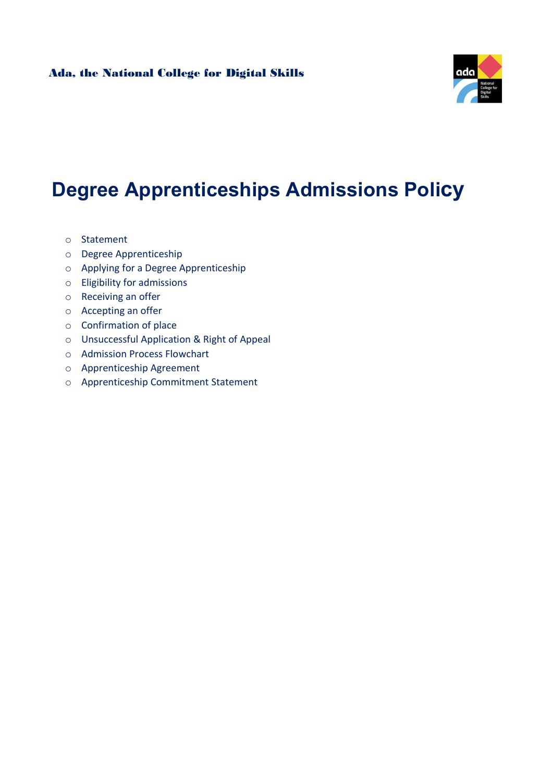

# Degree Apprenticeships Admissions Policy

- o Statement
- o Degree Apprenticeship
- o Applying for a Degree Apprenticeship
- o Eligibility for admissions
- o Receiving an offer
- o Accepting an offer
- o Confirmation of place
- o Unsuccessful Application & Right of Appeal
- o Admission Process Flowchart
- o Apprenticeship Agreement
- o Apprenticeship Commitment Statement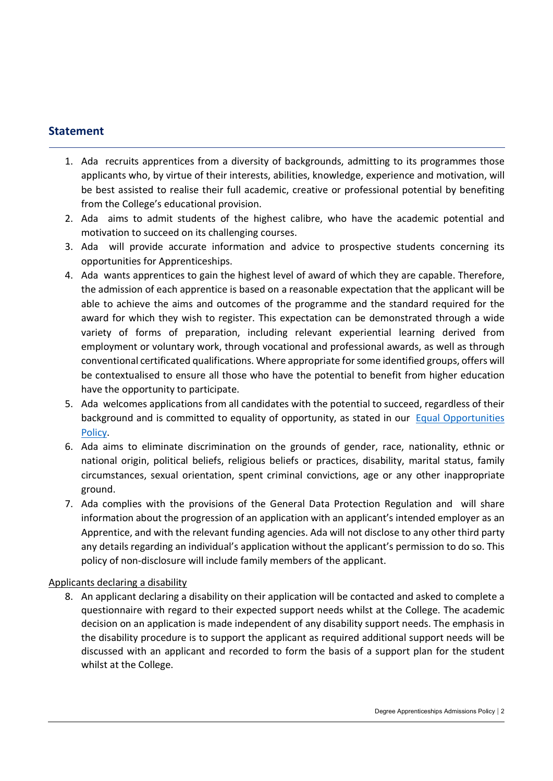# Statement

- 1. Ada recruits apprentices from a diversity of backgrounds, admitting to its programmes those applicants who, by virtue of their interests, abilities, knowledge, experience and motivation, will be best assisted to realise their full academic, creative or professional potential by benefiting from the College's educational provision.
- 2. Ada aims to admit students of the highest calibre, who have the academic potential and motivation to succeed on its challenging courses.
- 3. Ada will provide accurate information and advice to prospective students concerning its opportunities for Apprenticeships.
- 4. Ada wants apprentices to gain the highest level of award of which they are capable. Therefore, the admission of each apprentice is based on a reasonable expectation that the applicant will be able to achieve the aims and outcomes of the programme and the standard required for the award for which they wish to register. This expectation can be demonstrated through a wide variety of forms of preparation, including relevant experiential learning derived from employment or voluntary work, through vocational and professional awards, as well as through conventional certificated qualifications. Where appropriate for some identified groups, offers will be contextualised to ensure all those who have the potential to benefit from higher education have the opportunity to participate.
- 5. Ada welcomes applications from all candidates with the potential to succeed, regardless of their background and is committed to equality of opportunity, as stated in our Equal Opportunities Policy.
- 6. Ada aims to eliminate discrimination on the grounds of gender, race, nationality, ethnic or national origin, political beliefs, religious beliefs or practices, disability, marital status, family circumstances, sexual orientation, spent criminal convictions, age or any other inappropriate ground.
- 7. Ada complies with the provisions of the General Data Protection Regulation and will share information about the progression of an application with an applicant's intended employer as an Apprentice, and with the relevant funding agencies. Ada will not disclose to any other third party any details regarding an individual's application without the applicant's permission to do so. This policy of non-disclosure will include family members of the applicant.

#### Applicants declaring a disability

8. An applicant declaring a disability on their application will be contacted and asked to complete a questionnaire with regard to their expected support needs whilst at the College. The academic decision on an application is made independent of any disability support needs. The emphasis in the disability procedure is to support the applicant as required additional support needs will be discussed with an applicant and recorded to form the basis of a support plan for the student whilst at the College.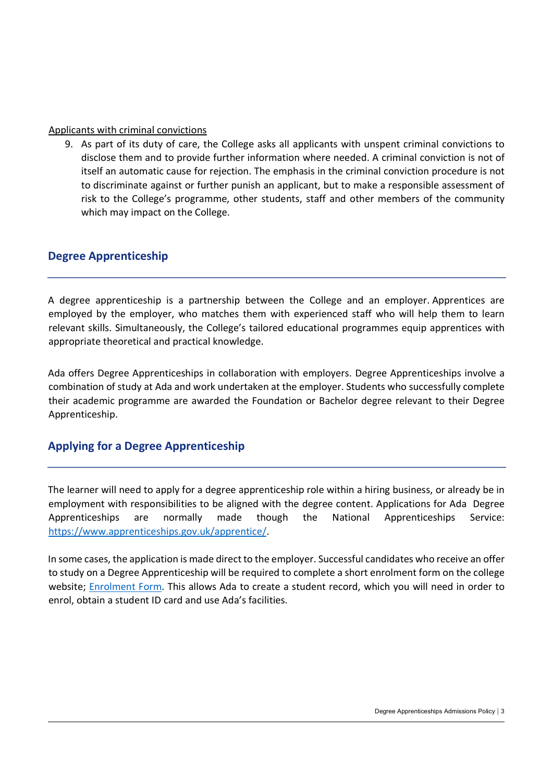#### Applicants with criminal convictions

9. As part of its duty of care, the College asks all applicants with unspent criminal convictions to disclose them and to provide further information where needed. A criminal conviction is not of itself an automatic cause for rejection. The emphasis in the criminal conviction procedure is not to discriminate against or further punish an applicant, but to make a responsible assessment of risk to the College's programme, other students, staff and other members of the community which may impact on the College.

# Degree Apprenticeship

A degree apprenticeship is a partnership between the College and an employer. Apprentices are employed by the employer, who matches them with experienced staff who will help them to learn relevant skills. Simultaneously, the College's tailored educational programmes equip apprentices with appropriate theoretical and practical knowledge.

Ada offers Degree Apprenticeships in collaboration with employers. Degree Apprenticeships involve a combination of study at Ada and work undertaken at the employer. Students who successfully complete their academic programme are awarded the Foundation or Bachelor degree relevant to their Degree Apprenticeship.

## Applying for a Degree Apprenticeship

The learner will need to apply for a degree apprenticeship role within a hiring business, or already be in employment with responsibilities to be aligned with the degree content. Applications for Ada Degree Apprenticeships are normally made though the National Apprenticeships Service: https://www.apprenticeships.gov.uk/apprentice/.

In some cases, the application is made direct to the employer. Successful candidates who receive an offer to study on a Degree Apprenticeship will be required to complete a short enrolment form on the college website; Enrolment Form. This allows Ada to create a student record, which you will need in order to enrol, obtain a student ID card and use Ada's facilities.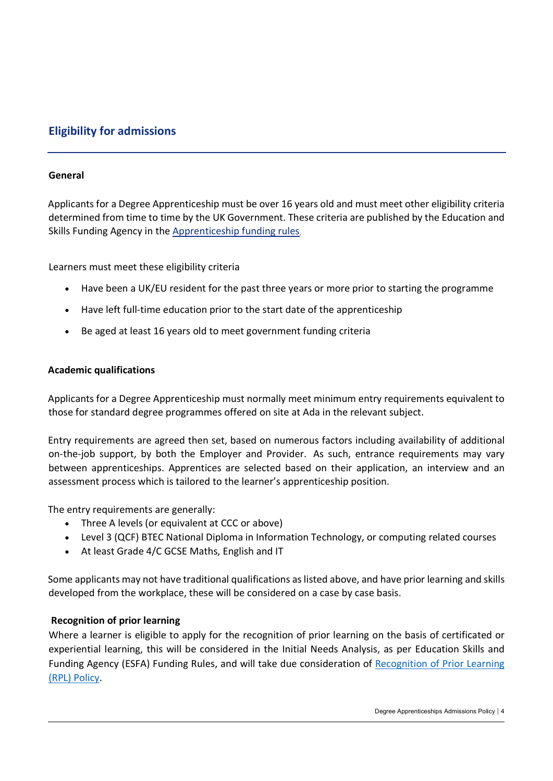# Eligibility for admissions

#### General

Applicants for a Degree Apprenticeship must be over 16 years old and must meet other eligibility criteria determined from time to time by the UK Government. These criteria are published by the Education and Skills Funding Agency in the Apprenticeship funding rules.

Learners must meet these eligibility criteria

- Have been a UK/EU resident for the past three years or more prior to starting the programme
- Have left full-time education prior to the start date of the apprenticeship
- Be aged at least 16 years old to meet government funding criteria

#### Academic qualifications

Applicants for a Degree Apprenticeship must normally meet minimum entry requirements equivalent to those for standard degree programmes offered on site at Ada in the relevant subject.

Entry requirements are agreed then set, based on numerous factors including availability of additional on-the-job support, by both the Employer and Provider. As such, entrance requirements may vary between apprenticeships. Apprentices are selected based on their application, an interview and an assessment process which is tailored to the learner's apprenticeship position.

The entry requirements are generally:

- Three A levels (or equivalent at CCC or above)
- Level 3 (QCF) BTEC National Diploma in Information Technology, or computing related courses
- At least Grade 4/C GCSE Maths, English and IT

Some applicants may not have traditional qualifications as listed above, and have prior learning and skills developed from the workplace, these will be considered on a case by case basis.

#### Recognition of prior learning

Where a learner is eligible to apply for the recognition of prior learning on the basis of certificated or experiential learning, this will be considered in the Initial Needs Analysis, as per Education Skills and Funding Agency (ESFA) Funding Rules, and will take due consideration of Recognition of Prior Learning (RPL) Policy.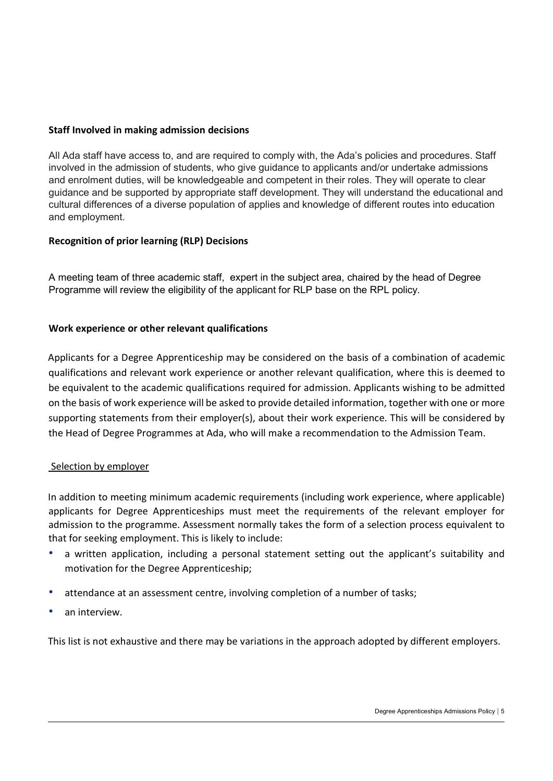#### Staff Involved in making admission decisions

All Ada staff have access to, and are required to comply with, the Ada's policies and procedures. Staff involved in the admission of students, who give guidance to applicants and/or undertake admissions and enrolment duties, will be knowledgeable and competent in their roles. They will operate to clear guidance and be supported by appropriate staff development. They will understand the educational and cultural differences of a diverse population of applies and knowledge of different routes into education and employment.

#### Recognition of prior learning (RLP) Decisions

A meeting team of three academic staff, expert in the subject area, chaired by the head of Degree Programme will review the eligibility of the applicant for RLP base on the RPL policy.

#### Work experience or other relevant qualifications

Applicants for a Degree Apprenticeship may be considered on the basis of a combination of academic qualifications and relevant work experience or another relevant qualification, where this is deemed to be equivalent to the academic qualifications required for admission. Applicants wishing to be admitted on the basis of work experience will be asked to provide detailed information, together with one or more supporting statements from their employer(s), about their work experience. This will be considered by the Head of Degree Programmes at Ada, who will make a recommendation to the Admission Team.

#### Selection by employer

In addition to meeting minimum academic requirements (including work experience, where applicable) applicants for Degree Apprenticeships must meet the requirements of the relevant employer for admission to the programme. Assessment normally takes the form of a selection process equivalent to that for seeking employment. This is likely to include:

- a written application, including a personal statement setting out the applicant's suitability and motivation for the Degree Apprenticeship;
- attendance at an assessment centre, involving completion of a number of tasks;
- an interview.

This list is not exhaustive and there may be variations in the approach adopted by different employers.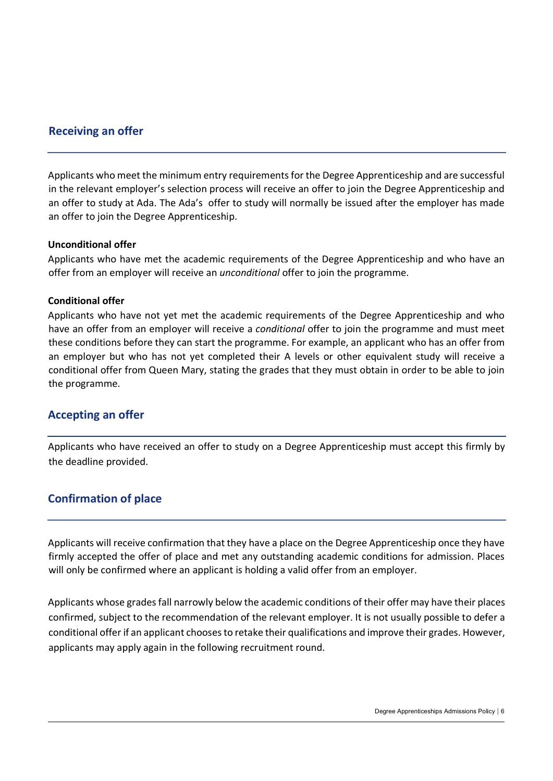## Receiving an offer

Applicants who meet the minimum entry requirements for the Degree Apprenticeship and are successful in the relevant employer's selection process will receive an offer to join the Degree Apprenticeship and an offer to study at Ada. The Ada's offer to study will normally be issued after the employer has made an offer to join the Degree Apprenticeship.

#### Unconditional offer

Applicants who have met the academic requirements of the Degree Apprenticeship and who have an offer from an employer will receive an unconditional offer to join the programme.

#### Conditional offer

Applicants who have not yet met the academic requirements of the Degree Apprenticeship and who have an offer from an employer will receive a conditional offer to join the programme and must meet these conditions before they can start the programme. For example, an applicant who has an offer from an employer but who has not yet completed their A levels or other equivalent study will receive a conditional offer from Queen Mary, stating the grades that they must obtain in order to be able to join the programme.

## Accepting an offer

Applicants who have received an offer to study on a Degree Apprenticeship must accept this firmly by the deadline provided.

# Confirmation of place

Applicants will receive confirmation that they have a place on the Degree Apprenticeship once they have firmly accepted the offer of place and met any outstanding academic conditions for admission. Places will only be confirmed where an applicant is holding a valid offer from an employer.

Applicants whose grades fall narrowly below the academic conditions of their offer may have their places confirmed, subject to the recommendation of the relevant employer. It is not usually possible to defer a conditional offer if an applicant chooses to retake their qualifications and improve their grades. However, applicants may apply again in the following recruitment round.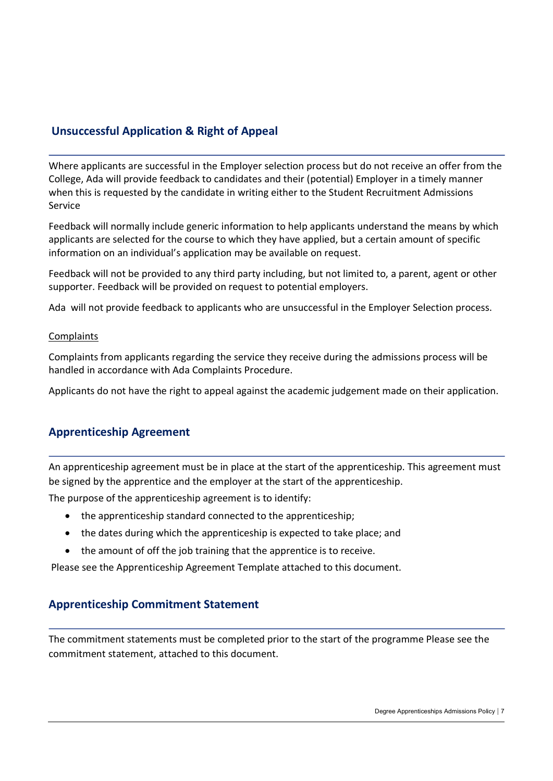# Unsuccessful Application & Right of Appeal

Where applicants are successful in the Employer selection process but do not receive an offer from the College, Ada will provide feedback to candidates and their (potential) Employer in a timely manner when this is requested by the candidate in writing either to the Student Recruitment Admissions Service

Feedback will normally include generic information to help applicants understand the means by which applicants are selected for the course to which they have applied, but a certain amount of specific information on an individual's application may be available on request.

Feedback will not be provided to any third party including, but not limited to, a parent, agent or other supporter. Feedback will be provided on request to potential employers.

Ada will not provide feedback to applicants who are unsuccessful in the Employer Selection process.

#### **Complaints**

Complaints from applicants regarding the service they receive during the admissions process will be handled in accordance with Ada Complaints Procedure.

Applicants do not have the right to appeal against the academic judgement made on their application.

## Apprenticeship Agreement

An apprenticeship agreement must be in place at the start of the apprenticeship. This agreement must be signed by the apprentice and the employer at the start of the apprenticeship.

The purpose of the apprenticeship agreement is to identify:

- the apprenticeship standard connected to the apprenticeship;
- the dates during which the apprenticeship is expected to take place; and
- the amount of off the job training that the apprentice is to receive.

Please see the Apprenticeship Agreement Template attached to this document.

#### Apprenticeship Commitment Statement

The commitment statements must be completed prior to the start of the programme Please see the commitment statement, attached to this document.